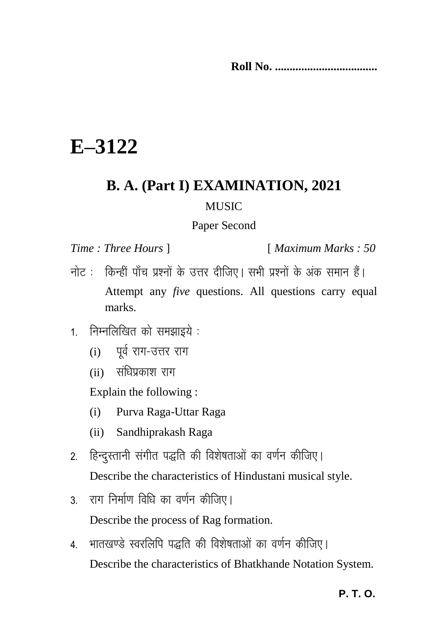**Roll No. ...................................**

## **E–3122**

## **B. A. (Part I) EXAMINATION, 2021 MUSIC**

## Paper Second

*Time : Three Hours* ] [ *Maximum Marks : 50*

- नोट: किन्हीं पाँच प्रश्नों के उत्तर दीजिए। सभी प्रश्नों के अंक समान हैं। Attempt any *five* questions. All questions carry equal marks.
- $1.$  निम्नलिखित को समझाइये:
	- $(i)$  पर्व राग-उत्तर राग
	- $(i)$  संधिप्रकाश राग

Explain the following :

- (i) Purva Raga-Uttar Raga
- (ii) Sandhiprakash Raga
- 2. हिन्दुस्तानी संगीत पद्धति की विशेषताओं का वर्णन कीजिए। Describe the characteristics of Hindustani musical style.
- 3 राग निर्माण विधि का वर्णन कीजिए I Describe the process of Rag formation.
- 4. भातखण्डे स्वरलिपि पद्धति की विशेषताओं का वर्णन कीजिए। Describe the characteristics of Bhatkhande Notation System.